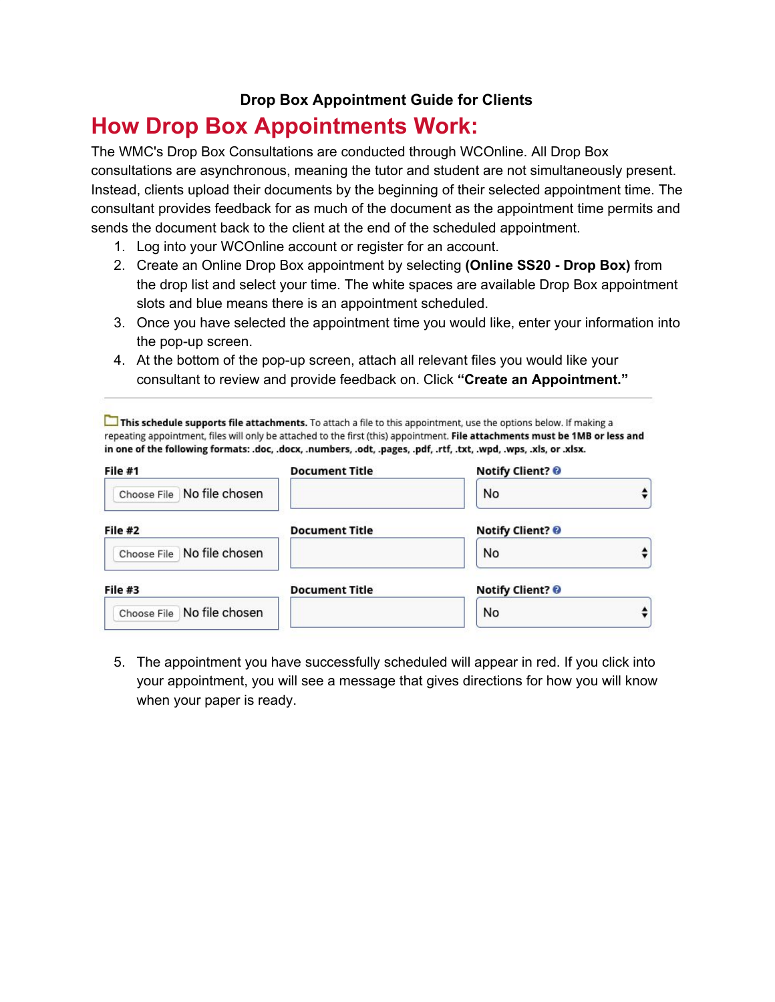## **Drop Box Appointment Guide for Clients**

## **How Drop Box Appointments Work:**

The WMC's Drop Box Consultations are conducted through WCOnline. All Drop Box consultations are asynchronous, meaning the tutor and student are not simultaneously present. Instead, clients upload their documents by the beginning of their selected appointment time. The consultant provides feedback for as much of the document as the appointment time permits and sends the document back to the client at the end of the scheduled appointment.

- 1. Log into your WCOnline account or register for an account.
- 2. Create an Online Drop Box appointment by selecting **(Online SS20 - Drop Box)** from the drop list and select your time. The white spaces are available Drop Box appointment slots and blue means there is an appointment scheduled.
- 3. Once you have selected the appointment time you would like, enter your information into the pop-up screen.
- 4. At the bottom of the pop-up screen, attach all relevant files you would like your consultant to review and provide feedback on. Click **"Create an Appointment."**

This schedule supports file attachments. To attach a file to this appointment, use the options below. If making a repeating appointment, files will only be attached to the first (this) appointment. File attachments must be 1MB or less and in one of the following formats: .doc, .docx, .numbers, .odt, .pages, .pdf, .rtf, .txt, .wpd, .wps, .xls, or .xlsx.

| File #1                    | <b>Document Title</b> | <b>Notify Client? @</b> |  |  |  |
|----------------------------|-----------------------|-------------------------|--|--|--|
| Choose File No file chosen |                       | No                      |  |  |  |
| File #2                    | <b>Document Title</b> | <b>Notify Client?</b>   |  |  |  |
| Choose File No file chosen |                       | No                      |  |  |  |
| File #3                    | <b>Document Title</b> | <b>Notify Client? ©</b> |  |  |  |
| Choose File No file chosen |                       | No                      |  |  |  |

5. The appointment you have successfully scheduled will appear in red. If you click into your appointment, you will see a message that gives directions for how you will know when your paper is ready.